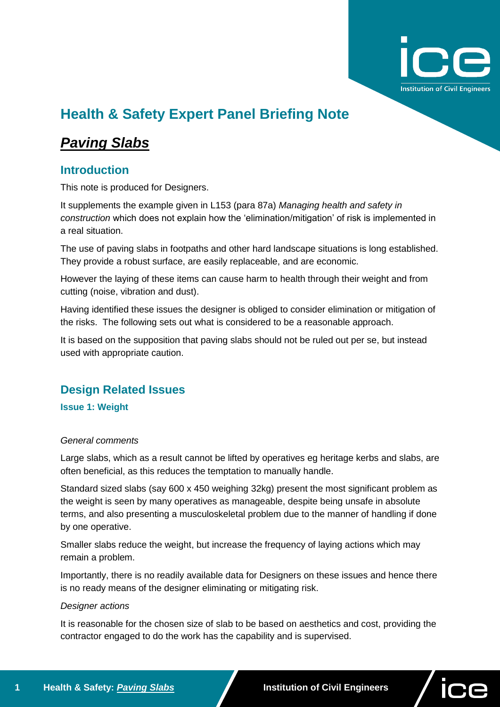

# **Health & Safety Expert Panel Briefing Note**

## *Paving Slabs*

## **Introduction**

This note is produced for Designers.

It supplements the example given in L153 (para 87a) *Managing health and safety in construction* which does not explain how the 'elimination/mitigation' of risk is implemented in a real situation.

The use of paving slabs in footpaths and other hard landscape situations is long established. They provide a robust surface, are easily replaceable, and are economic.

However the laying of these items can cause harm to health through their weight and from cutting (noise, vibration and dust).

Having identified these issues the designer is obliged to consider elimination or mitigation of the risks. The following sets out what is considered to be a reasonable approach.

It is based on the supposition that paving slabs should not be ruled out per se, but instead used with appropriate caution.

### **Design Related Issues**

**Issue 1: Weight**

#### *General comments*

Large slabs, which as a result cannot be lifted by operatives eg heritage kerbs and slabs, are often beneficial, as this reduces the temptation to manually handle.

Standard sized slabs (say 600 x 450 weighing 32kg) present the most significant problem as the weight is seen by many operatives as manageable, despite being unsafe in absolute terms, and also presenting a musculoskeletal problem due to the manner of handling if done by one operative.

Smaller slabs reduce the weight, but increase the frequency of laying actions which may remain a problem.

Importantly, there is no readily available data for Designers on these issues and hence there is no ready means of the designer eliminating or mitigating risk.

#### *Designer actions*

It is reasonable for the chosen size of slab to be based on aesthetics and cost, providing the contractor engaged to do the work has the capability and is supervised.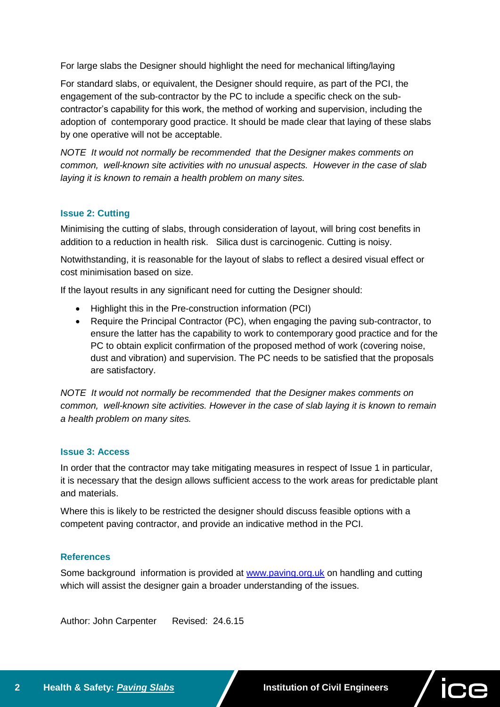For large slabs the Designer should highlight the need for mechanical lifting/laying

For standard slabs, or equivalent, the Designer should require, as part of the PCI, the engagement of the sub-contractor by the PC to include a specific check on the subcontractor's capability for this work, the method of working and supervision, including the adoption of contemporary good practice. It should be made clear that laying of these slabs by one operative will not be acceptable.

*NOTE It would not normally be recommended that the Designer makes comments on common, well-known site activities with no unusual aspects. However in the case of slab laying it is known to remain a health problem on many sites.*

#### **Issue 2: Cutting**

Minimising the cutting of slabs, through consideration of layout, will bring cost benefits in addition to a reduction in health risk. Silica dust is carcinogenic. Cutting is noisy.

Notwithstanding, it is reasonable for the layout of slabs to reflect a desired visual effect or cost minimisation based on size.

If the layout results in any significant need for cutting the Designer should:

- Highlight this in the Pre-construction information (PCI)
- Require the Principal Contractor (PC), when engaging the paving sub-contractor, to ensure the latter has the capability to work to contemporary good practice and for the PC to obtain explicit confirmation of the proposed method of work (covering noise, dust and vibration) and supervision. The PC needs to be satisfied that the proposals are satisfactory.

*NOTE It would not normally be recommended that the Designer makes comments on common, well-known site activities. However in the case of slab laying it is known to remain a health problem on many sites.*

#### **Issue 3: Access**

In order that the contractor may take mitigating measures in respect of Issue 1 in particular, it is necessary that the design allows sufficient access to the work areas for predictable plant and materials.

Where this is likely to be restricted the designer should discuss feasible options with a competent paving contractor, and provide an indicative method in the PCI.

#### **References**

Some background information is provided at [www.paving.org.uk](http://www.paving.org.uk/) on handling and cutting which will assist the designer gain a broader understanding of the issues.

Author: John Carpenter Revised: 24.6.15